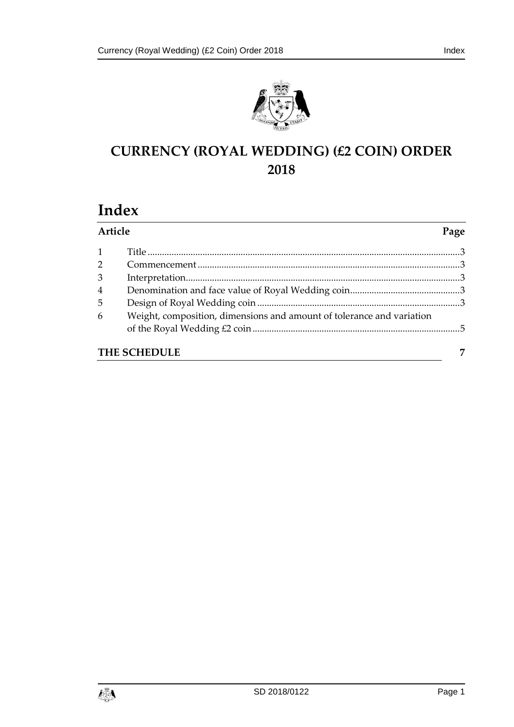



# **CURRENCY (ROYAL WEDDING) (£2 COIN) ORDER 2018**

# **Index**

| Article        |                                                                       | Page |
|----------------|-----------------------------------------------------------------------|------|
| $\mathbf{1}$   |                                                                       |      |
| $\overline{2}$ |                                                                       |      |
| 3              |                                                                       |      |
| $\overline{4}$ |                                                                       |      |
| 5              |                                                                       |      |
| 6              | Weight, composition, dimensions and amount of tolerance and variation |      |
| THE SCHEDULE   |                                                                       |      |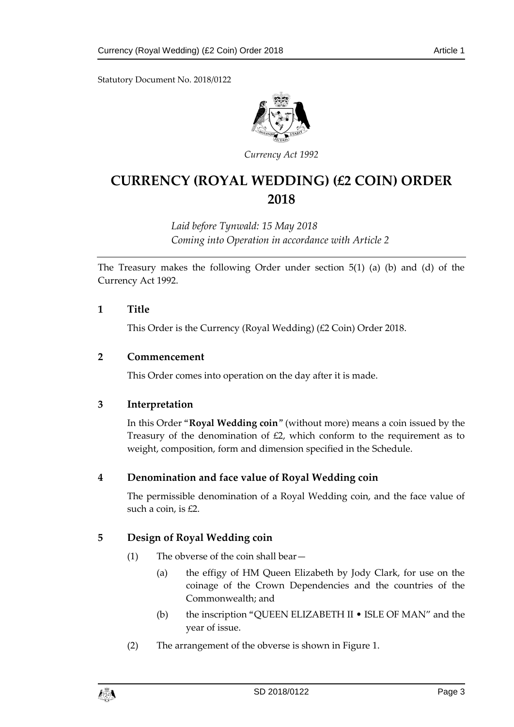Statutory Document No. 2018/0122



*Currency Act 1992*

# **CURRENCY (ROYAL WEDDING) (£2 COIN) ORDER 2018**

*Laid before Tynwald: 15 May 2018 Coming into Operation in accordance with Article 2*

The Treasury makes the following Order under section 5(1) (a) (b) and (d) of the Currency Act 1992.

# <span id="page-2-0"></span>**1 Title**

This Order is the Currency (Royal Wedding) (£2 Coin) Order 2018.

### <span id="page-2-1"></span>**2 Commencement**

This Order comes into operation on the day after it is made.

# <span id="page-2-2"></span>**3 Interpretation**

In this Order "**Royal Wedding coin**" (without more) means a coin issued by the Treasury of the denomination of £2, which conform to the requirement as to weight, composition, form and dimension specified in the Schedule.

# <span id="page-2-3"></span>**4 Denomination and face value of Royal Wedding coin**

The permissible denomination of a Royal Wedding coin, and the face value of such a coin, is £2.

# <span id="page-2-4"></span>**5 Design of Royal Wedding coin**

- (1) The obverse of the coin shall bear—
	- (a) the effigy of HM Queen Elizabeth by Jody Clark, for use on the coinage of the Crown Dependencies and the countries of the Commonwealth; and
	- (b) the inscription "QUEEN ELIZABETH II ISLE OF MAN" and the year of issue.
- (2) The arrangement of the obverse is shown in Figure 1.

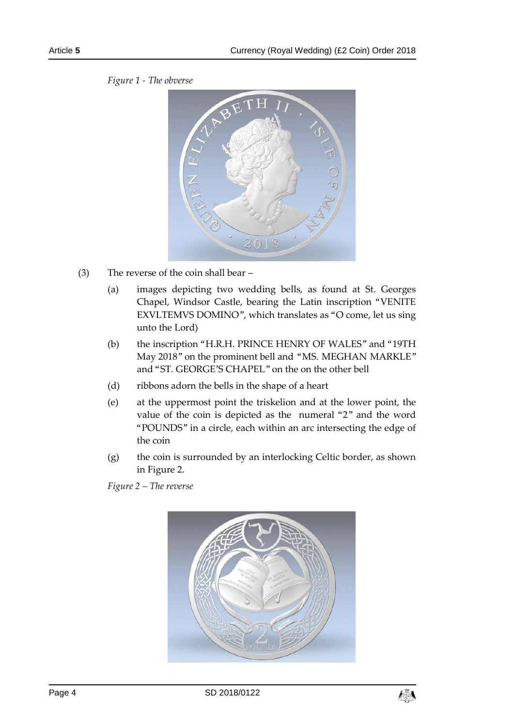

*Figure 1 - The obverse*

- (3) The reverse of the coin shall bear
	- (a) images depicting two wedding bells, as found at St. Georges Chapel, Windsor Castle, bearing the Latin inscription "VENITE EXVLTEMVS DOMINO", which translates as "O come, let us sing unto the Lord)
	- (b) the inscription "H.R.H. PRINCE HENRY OF WALES" and "19TH May 2018" on the prominent bell and "MS. MEGHAN MARKLE" and "ST. GEORGE'S CHAPEL" on the on the other bell
	- (d) ribbons adorn the bells in the shape of a heart
	- (e) at the uppermost point the triskelion and at the lower point, the value of the coin is depicted as the numeral "2" and the word "POUNDS" in a circle, each within an arc intersecting the edge of the coin
	- (g) the coin is surrounded by an interlocking Celtic border, as shown in Figure 2.

*Figure 2 – The reverse*



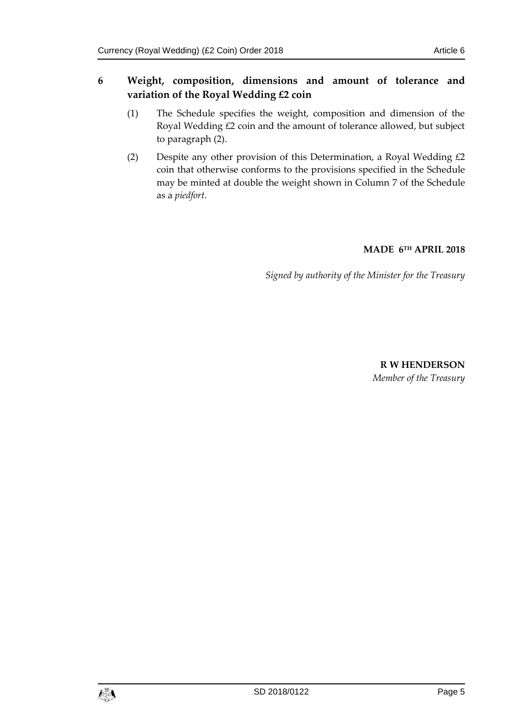# <span id="page-4-0"></span>**6 Weight, composition, dimensions and amount of tolerance and variation of the Royal Wedding £2 coin**

- (1) The Schedule specifies the weight, composition and dimension of the Royal Wedding £2 coin and the amount of tolerance allowed, but subject to paragraph (2).
- (2) Despite any other provision of this Determination, a Royal Wedding  $\text{\pounds}2$ coin that otherwise conforms to the provisions specified in the Schedule may be minted at double the weight shown in Column 7 of the Schedule as a *piedfort*.

# **MADE 6 TH APRIL 2018**

*Signed by authority of the Minister for the Treasury*

**R W HENDERSON** *Member of the Treasury*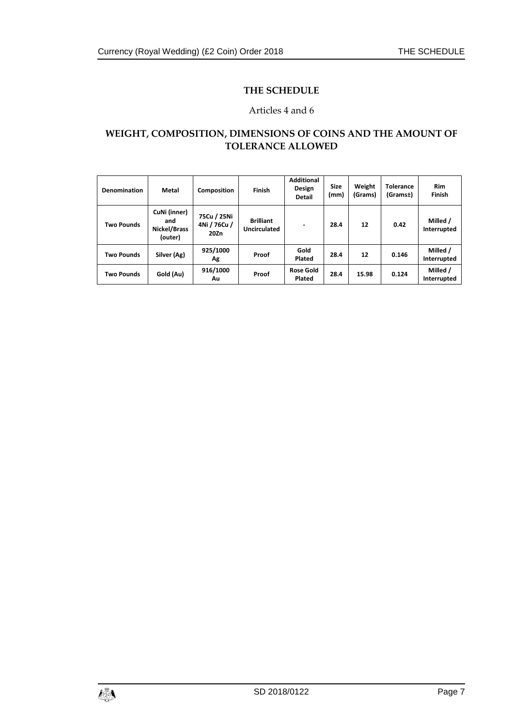### **THE SCHEDULE**

### Articles 4 and 6

# <span id="page-6-0"></span>**WEIGHT, COMPOSITION, DIMENSIONS OF COINS AND THE AMOUNT OF TOLERANCE ALLOWED**

| Denomination      | Metal                                          | Composition                         | Finish                           | <b>Additional</b><br>Design<br><b>Detail</b> | <b>Size</b><br>(mm) | Weight<br>(Grams) | <b>Tolerance</b><br>(Gramst) | <b>Rim</b><br>Finish    |
|-------------------|------------------------------------------------|-------------------------------------|----------------------------------|----------------------------------------------|---------------------|-------------------|------------------------------|-------------------------|
| <b>Two Pounds</b> | CuNi (inner)<br>and<br>Nickel/Brass<br>(outer) | 75Cu / 25Ni<br>4Ni / 76Cu /<br>20Zn | <b>Brilliant</b><br>Uncirculated | $\overline{\phantom{0}}$                     | 28.4                | 12                | 0.42                         | Milled /<br>Interrupted |
| <b>Two Pounds</b> | Silver (Ag)                                    | 925/1000<br>Αg                      | Proof                            | Gold<br>Plated                               | 28.4                | 12                | 0.146                        | Milled /<br>Interrupted |
| <b>Two Pounds</b> | Gold (Au)                                      | 916/1000<br>Au                      | Proof                            | <b>Rose Gold</b><br>Plated                   | 28.4                | 15.98             | 0.124                        | Milled /<br>Interrupted |